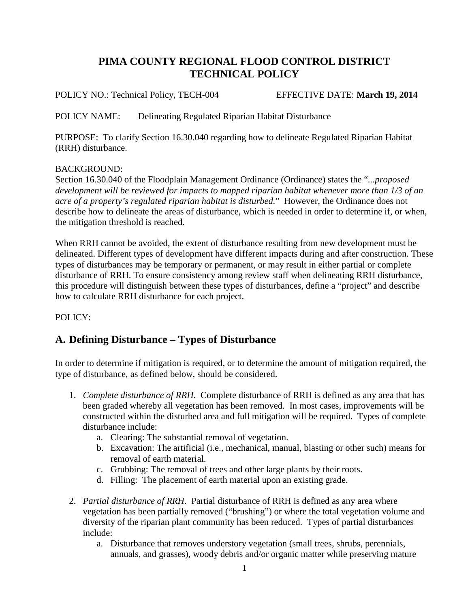# **PIMA COUNTY REGIONAL FLOOD CONTROL DISTRICT TECHNICAL POLICY**

POLICY NO.: Technical Policy, TECH-004 EFFECTIVE DATE: **March 19, 2014**

POLICY NAME: Delineating Regulated Riparian Habitat Disturbance

PURPOSE: To clarify Section 16.30.040 regarding how to delineate Regulated Riparian Habitat (RRH) disturbance.

#### BACKGROUND:

Section 16.30.040 of the Floodplain Management Ordinance (Ordinance) states the "*...proposed development will be reviewed for impacts to mapped riparian habitat whenever more than 1/3 of an acre of a property's regulated riparian habitat is disturbed.*" However, the Ordinance does not describe how to delineate the areas of disturbance, which is needed in order to determine if, or when, the mitigation threshold is reached.

When RRH cannot be avoided, the extent of disturbance resulting from new development must be delineated. Different types of development have different impacts during and after construction. These types of disturbances may be temporary or permanent, or may result in either partial or complete disturbance of RRH. To ensure consistency among review staff when delineating RRH disturbance, this procedure will distinguish between these types of disturbances, define a "project" and describe how to calculate RRH disturbance for each project.

#### POLICY:

### **A. Defining Disturbance – Types of Disturbance**

In order to determine if mitigation is required, or to determine the amount of mitigation required, the type of disturbance, as defined below, should be considered.

- 1. *Complete disturbance of RRH*. Complete disturbance of RRH is defined as any area that has been graded whereby all vegetation has been removed. In most cases, improvements will be constructed within the disturbed area and full mitigation will be required. Types of complete disturbance include:
	- a. Clearing: The substantial removal of vegetation.
	- b. Excavation: The artificial (i.e., mechanical, manual, blasting or other such) means for removal of earth material.
	- c. Grubbing: The removal of trees and other large plants by their roots.
	- d. Filling: The placement of earth material upon an existing grade.
- 2. *Partial disturbance of RRH*. Partial disturbance of RRH is defined as any area where vegetation has been partially removed ("brushing") or where the total vegetation volume and diversity of the riparian plant community has been reduced. Types of partial disturbances include:
	- a. Disturbance that removes understory vegetation (small trees, shrubs, perennials, annuals, and grasses), woody debris and/or organic matter while preserving mature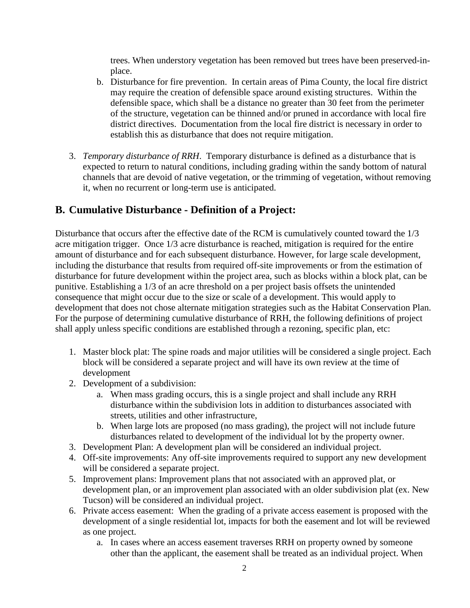trees. When understory vegetation has been removed but trees have been preserved-inplace.

- b. Disturbance for fire prevention. In certain areas of Pima County, the local fire district may require the creation of defensible space around existing structures. Within the defensible space, which shall be a distance no greater than 30 feet from the perimeter of the structure, vegetation can be thinned and/or pruned in accordance with local fire district directives. Documentation from the local fire district is necessary in order to establish this as disturbance that does not require mitigation.
- 3. *Temporary disturbance of RRH*. Temporary disturbance is defined as a disturbance that is expected to return to natural conditions, including grading within the sandy bottom of natural channels that are devoid of native vegetation, or the trimming of vegetation, without removing it, when no recurrent or long-term use is anticipated.

### **B. Cumulative Disturbance - Definition of a Project:**

Disturbance that occurs after the effective date of the RCM is cumulatively counted toward the 1/3 acre mitigation trigger. Once 1/3 acre disturbance is reached, mitigation is required for the entire amount of disturbance and for each subsequent disturbance. However, for large scale development, including the disturbance that results from required off-site improvements or from the estimation of disturbance for future development within the project area, such as blocks within a block plat, can be punitive. Establishing a 1/3 of an acre threshold on a per project basis offsets the unintended consequence that might occur due to the size or scale of a development. This would apply to development that does not chose alternate mitigation strategies such as the Habitat Conservation Plan. For the purpose of determining cumulative disturbance of RRH, the following definitions of project shall apply unless specific conditions are established through a rezoning, specific plan, etc:

- 1. Master block plat: The spine roads and major utilities will be considered a single project. Each block will be considered a separate project and will have its own review at the time of development
- 2. Development of a subdivision:
	- a. When mass grading occurs, this is a single project and shall include any RRH disturbance within the subdivision lots in addition to disturbances associated with streets, utilities and other infrastructure,
	- b. When large lots are proposed (no mass grading), the project will not include future disturbances related to development of the individual lot by the property owner.
- 3. Development Plan: A development plan will be considered an individual project.
- 4. Off-site improvements: Any off-site improvements required to support any new development will be considered a separate project.
- 5. Improvement plans: Improvement plans that not associated with an approved plat, or development plan, or an improvement plan associated with an older subdivision plat (ex. New Tucson) will be considered an individual project.
- 6. Private access easement: When the grading of a private access easement is proposed with the development of a single residential lot, impacts for both the easement and lot will be reviewed as one project.
	- a. In cases where an access easement traverses RRH on property owned by someone other than the applicant, the easement shall be treated as an individual project. When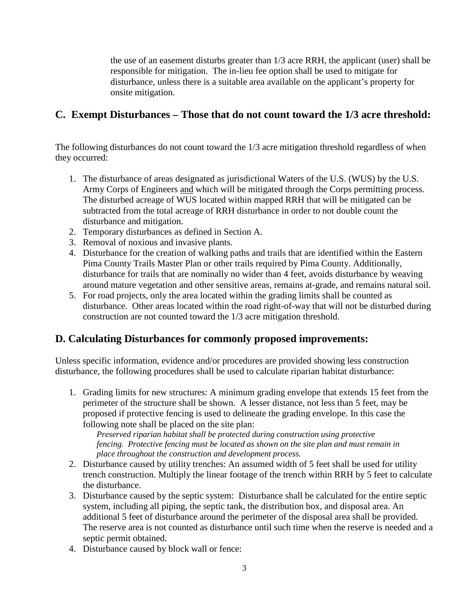the use of an easement disturbs greater than 1/3 acre RRH, the applicant (user) shall be responsible for mitigation. The in-lieu fee option shall be used to mitigate for disturbance, unless there is a suitable area available on the applicant's property for onsite mitigation.

## **C. Exempt Disturbances – Those that do not count toward the 1/3 acre threshold:**

The following disturbances do not count toward the 1/3 acre mitigation threshold regardless of when they occurred:

- 1. The disturbance of areas designated as jurisdictional Waters of the U.S. (WUS) by the U.S. Army Corps of Engineers and which will be mitigated through the Corps permitting process. The disturbed acreage of WUS located within mapped RRH that will be mitigated can be subtracted from the total acreage of RRH disturbance in order to not double count the disturbance and mitigation.
- 2. Temporary disturbances as defined in Section A.
- 3. Removal of noxious and invasive plants.
- 4. Disturbance for the creation of walking paths and trails that are identified within the Eastern Pima County Trails Master Plan or other trails required by Pima County. Additionally, disturbance for trails that are nominally no wider than 4 feet, avoids disturbance by weaving around mature vegetation and other sensitive areas, remains at-grade, and remains natural soil.
- 5. For road projects, only the area located within the grading limits shall be counted as disturbance. Other areas located within the road right-of-way that will not be disturbed during construction are not counted toward the 1/3 acre mitigation threshold.

### **D. Calculating Disturbances for commonly proposed improvements:**

Unless specific information, evidence and/or procedures are provided showing less construction disturbance, the following procedures shall be used to calculate riparian habitat disturbance:

1. Grading limits for new structures: A minimum grading envelope that extends 15 feet from the perimeter of the structure shall be shown. A lesser distance, not less than 5 feet, may be proposed if protective fencing is used to delineate the grading envelope. In this case the following note shall be placed on the site plan:

*Preserved riparian habitat shall be protected during construction u*s*ing protective fencing. Protective fencing must be located as shown on the site plan and must remain in place throughout the construction and development process.*

- 2. Disturbance caused by utility trenches: An assumed width of 5 feet shall be used for utility trench construction. Multiply the linear footage of the trench within RRH by 5 feet to calculate the disturbance.
- 3. Disturbance caused by the septic system: Disturbance shall be calculated for the entire septic system, including all piping, the septic tank, the distribution box, and disposal area. An additional 5 feet of disturbance around the perimeter of the disposal area shall be provided. The reserve area is not counted as disturbance until such time when the reserve is needed and a septic permit obtained.
- 4. Disturbance caused by block wall or fence: